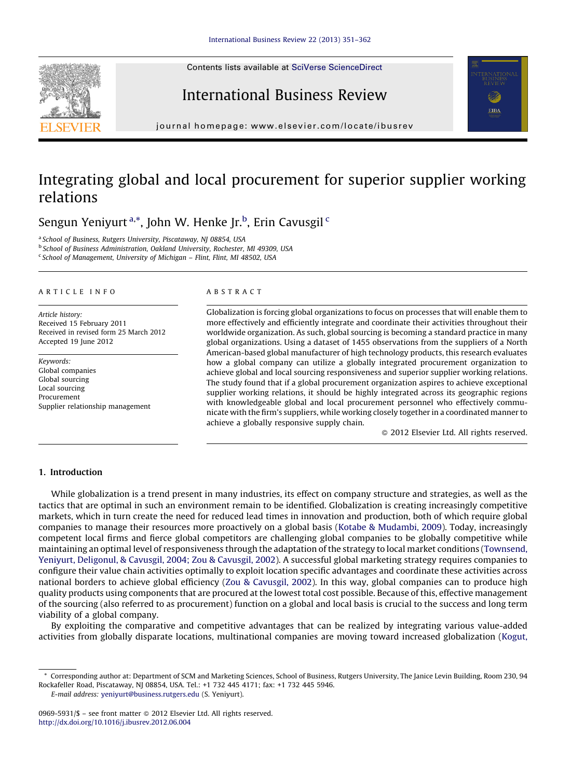Contents lists available at SciVerse [ScienceDirect](http://www.sciencedirect.com/science/journal/09695931)







journal homepage: www.elsevier.com/locate/ibusrev

## Integrating global and local procurement for superior supplier working relations

Sengun Yeniyurt <sup>a,\*</sup>, John W. Henke Jr.<sup>b</sup>, Erin Cavusgil <sup>c</sup>

<sup>a</sup> School of Business, Rutgers University, Piscataway, NI 08854, USA

<sup>b</sup> School of Business Administration, Oakland University, Rochester, MI 49309, USA

<sup>c</sup> School of Management, University of Michigan – Flint, Flint, MI 48502, USA

#### A R T I C I E I N E O

Article history: Received 15 February 2011 Received in revised form 25 March 2012 Accepted 19 June 2012

Keywords: Global companies Global sourcing Local sourcing Procurement Supplier relationship management

## A B S T R A C T

Globalization is forcing global organizations to focus on processes that will enable them to more effectively and efficiently integrate and coordinate their activities throughout their worldwide organization. As such, global sourcing is becoming a standard practice in many global organizations. Using a dataset of 1455 observations from the suppliers of a North American-based global manufacturer of high technology products, this research evaluates how a global company can utilize a globally integrated procurement organization to achieve global and local sourcing responsiveness and superior supplier working relations. The study found that if a global procurement organization aspires to achieve exceptional supplier working relations, it should be highly integrated across its geographic regions with knowledgeable global and local procurement personnel who effectively communicate with the firm's suppliers, while working closely together in a coordinated manner to achieve a globally responsive supply chain.

- 2012 Elsevier Ltd. All rights reserved.

## 1. Introduction

While globalization is a trend present in many industries, its effect on company structure and strategies, as well as the tactics that are optimal in such an environment remain to be identified. Globalization is creating increasingly competitive markets, which in turn create the need for reduced lead times in innovation and production, both of which require global companies to manage their resources more proactively on a global basis (Kotabe & [Mudambi,](#page--1-0) 2009). Today, increasingly competent local firms and fierce global competitors are challenging global companies to be globally competitive while maintaining an optimal level of responsiveness through the adaptation ofthe strategy to local market conditions ([Townsend,](#page--1-0) Yeniyurt, [Deligonul,](#page--1-0) & Cavusgil, 2004; Zou & Cavusgil, 2002). A successful global marketing strategy requires companies to configure their value chain activities optimally to exploit location specific advantages and coordinate these activities across national borders to achieve global efficiency (Zou & [Cavusgil,](#page--1-0) 2002). In this way, global companies can to produce high quality products using components that are procured at the lowest total cost possible. Because of this, effective management of the sourcing (also referred to as procurement) function on a global and local basis is crucial to the success and long term viability of a global company.

By exploiting the comparative and competitive advantages that can be realized by integrating various value-added activities from globally disparate locations, multinational companies are moving toward increased globalization ([Kogut,](#page--1-0)

E-mail address: [yeniyurt@business.rutgers.edu](mailto:yeniyurt@business.rutgers.edu) (S. Yeniyurt).

<sup>\*</sup> Corresponding author at: Department of SCM and Marketing Sciences, School of Business, Rutgers University, The Janice Levin Building, Room 230, 94 Rockafeller Road, Piscataway, NJ 08854, USA. Tel.: +1 732 445 4171; fax: +1 732 445 5946.

<sup>0969-5931/\$ –</sup> see front matter © 2012 Elsevier Ltd. All rights reserved. <http://dx.doi.org/10.1016/j.ibusrev.2012.06.004>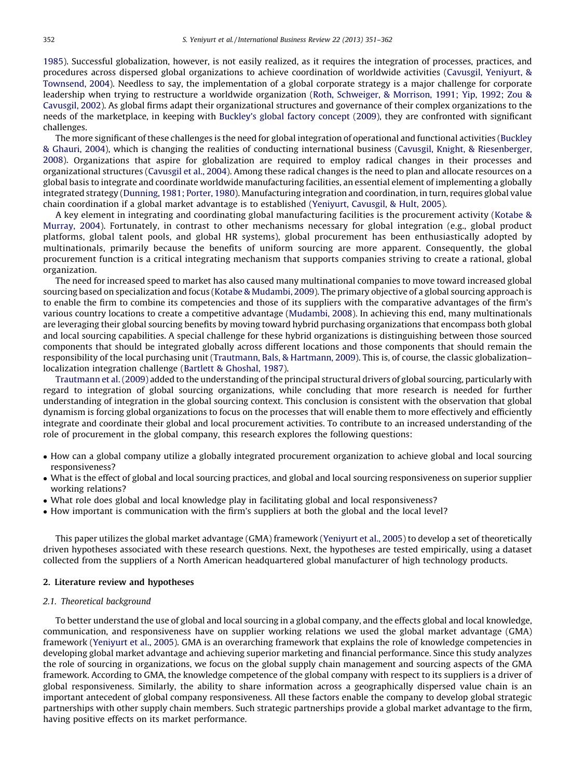[1985](#page--1-0)). Successful globalization, however, is not easily realized, as it requires the integration of processes, practices, and procedures across dispersed global organizations to achieve coordination of worldwide activities (Cavusgil, [Yeniyurt,](#page--1-0) & [Townsend,](#page--1-0) 2004). Needless to say, the implementation of a global corporate strategy is a major challenge for corporate leadership when trying to restructure a worldwide organization (Roth, [Schweiger,](#page--1-0) & Morrison, 1991; Yip, 1992; Zou & [Cavusgil,](#page--1-0) 2002). As global firms adapt their organizational structures and governance of their complex organizations to the needs of the marketplace, in keeping with [Buckley's](#page--1-0) global factory concept (2009), they are confronted with significant challenges.

The more significant of these challenges is the need for global integration of operational and functional activities [\(Buckley](#page--1-0) & [Ghauri,](#page--1-0) 2004), which is changing the realities of conducting international business (Cavusgil, Knight, & [Riesenberger,](#page--1-0) [2008](#page--1-0)). Organizations that aspire for globalization are required to employ radical changes in their processes and organizational structures [\(Cavusgil](#page--1-0) et al., 2004). Among these radical changes is the need to plan and allocate resources on a global basis to integrate and coordinate worldwide manufacturing facilities, an essential element of implementing a globally integrated strategy ([Dunning,](#page--1-0) 1981; Porter, 1980). Manufacturing integration and coordination, in turn, requires global value chain coordination if a global market advantage is to established ([Yeniyurt,](#page--1-0) Cavusgil, & Hult, 2005).

A key element in integrating and coordinating global manufacturing facilities is the procurement activity ([Kotabe](#page--1-0) & [Murray,](#page--1-0) 2004). Fortunately, in contrast to other mechanisms necessary for global integration (e.g., global product platforms, global talent pools, and global HR systems), global procurement has been enthusiastically adopted by multinationals, primarily because the benefits of uniform sourcing are more apparent. Consequently, the global procurement function is a critical integrating mechanism that supports companies striving to create a rational, global organization.

The need for increased speed to market has also caused many multinational companies to move toward increased global sourcing based on specialization and focus (Kotabe & [Mudambi,](#page--1-0) 2009). The primary objective of a global sourcing approach is to enable the firm to combine its competencies and those of its suppliers with the comparative advantages of the firm's various country locations to create a competitive advantage ([Mudambi,](#page--1-0) 2008). In achieving this end, many multinationals are leveraging their global sourcing benefits by moving toward hybrid purchasing organizations that encompass both global and local sourcing capabilities. A special challenge for these hybrid organizations is distinguishing between those sourced components that should be integrated globally across different locations and those components that should remain the responsibility of the local purchasing unit ([Trautmann,](#page--1-0) Bals, & Hartmann, 2009). This is, of course, the classic globalization– localization integration challenge (Bartlett & [Ghoshal,](#page--1-0) 1987).

[Trautmann](#page--1-0) et al. (2009) added to the understanding ofthe principal structural drivers of global sourcing, particularly with regard to integration of global sourcing organizations, while concluding that more research is needed for further understanding of integration in the global sourcing context. This conclusion is consistent with the observation that global dynamism is forcing global organizations to focus on the processes that will enable them to more effectively and efficiently integrate and coordinate their global and local procurement activities. To contribute to an increased understanding of the role of procurement in the global company, this research explores the following questions:

- How can a global company utilize a globally integrated procurement organization to achieve global and local sourcing responsiveness?
- What is the effect of global and local sourcing practices, and global and local sourcing responsiveness on superior supplier working relations?
- What role does global and local knowledge play in facilitating global and local responsiveness?
- How important is communication with the firm's suppliers at both the global and the local level?

This paper utilizes the global market advantage (GMA) framework [\(Yeniyurt](#page--1-0) et al., 2005) to develop a set of theoretically driven hypotheses associated with these research questions. Next, the hypotheses are tested empirically, using a dataset collected from the suppliers of a North American headquartered global manufacturer of high technology products.

#### 2. Literature review and hypotheses

### 2.1. Theoretical background

To better understand the use of global and local sourcing in a global company, and the effects global and local knowledge, communication, and responsiveness have on supplier working relations we used the global market advantage (GMA) framework ([Yeniyurt](#page--1-0) et al., 2005). GMA is an overarching framework that explains the role of knowledge competencies in developing global market advantage and achieving superior marketing and financial performance. Since this study analyzes the role of sourcing in organizations, we focus on the global supply chain management and sourcing aspects of the GMA framework. According to GMA, the knowledge competence of the global company with respect to its suppliers is a driver of global responsiveness. Similarly, the ability to share information across a geographically dispersed value chain is an important antecedent of global company responsiveness. All these factors enable the company to develop global strategic partnerships with other supply chain members. Such strategic partnerships provide a global market advantage to the firm, having positive effects on its market performance.